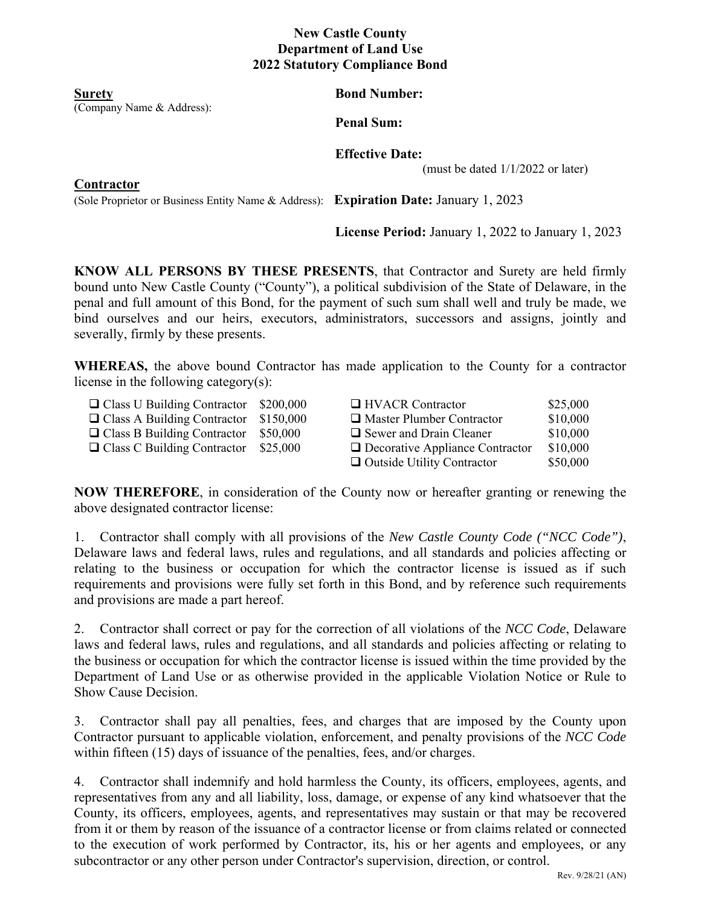## **New Castle County Department of Land Use 2022 Statutory Compliance Bond**

(Company Name & Address):

**Surety Bond Number: Bond Number:** 

**Penal Sum:** 

 **Effective Date:** 

(must be dated  $1/1/2022$  or later)

**Contractor** 

(Sole Proprietor or Business Entity Name & Address): **Expiration Date:** January 1, 2023

**License Period:** January 1, 2022 to January 1, 2023

**KNOW ALL PERSONS BY THESE PRESENTS**, that Contractor and Surety are held firmly bound unto New Castle County ("County"), a political subdivision of the State of Delaware, in the penal and full amount of this Bond, for the payment of such sum shall well and truly be made, we bind ourselves and our heirs, executors, administrators, successors and assigns, jointly and severally, firmly by these presents.

**WHEREAS,** the above bound Contractor has made application to the County for a contractor license in the following category(s):

| $\Box$ Class U Building Contractor | \$200,000 | $\Box$ HVACR Contractor                | \$25,000 |
|------------------------------------|-----------|----------------------------------------|----------|
| $\Box$ Class A Building Contractor | \$150,000 | $\Box$ Master Plumber Contractor       | \$10,000 |
| $\Box$ Class B Building Contractor | \$50,000  | $\Box$ Sewer and Drain Cleaner         | \$10,000 |
| $\Box$ Class C Building Contractor | \$25,000  | $\Box$ Decorative Appliance Contractor | \$10,000 |
|                                    |           | $\Box$ Outside Utility Contractor      | \$50,000 |

**NOW THEREFORE**, in consideration of the County now or hereafter granting or renewing the above designated contractor license:

1. Contractor shall comply with all provisions of the *New Castle County Code ("NCC Code")*, Delaware laws and federal laws, rules and regulations, and all standards and policies affecting or relating to the business or occupation for which the contractor license is issued as if such requirements and provisions were fully set forth in this Bond, and by reference such requirements and provisions are made a part hereof.

2. Contractor shall correct or pay for the correction of all violations of the *NCC Code*, Delaware laws and federal laws, rules and regulations, and all standards and policies affecting or relating to the business or occupation for which the contractor license is issued within the time provided by the Department of Land Use or as otherwise provided in the applicable Violation Notice or Rule to Show Cause Decision.

3. Contractor shall pay all penalties, fees, and charges that are imposed by the County upon Contractor pursuant to applicable violation, enforcement, and penalty provisions of the *NCC Code* within fifteen (15) days of issuance of the penalties, fees, and/or charges.

4. Contractor shall indemnify and hold harmless the County, its officers, employees, agents, and representatives from any and all liability, loss, damage, or expense of any kind whatsoever that the County, its officers, employees, agents, and representatives may sustain or that may be recovered from it or them by reason of the issuance of a contractor license or from claims related or connected to the execution of work performed by Contractor, its, his or her agents and employees, or any subcontractor or any other person under Contractor's supervision, direction, or control.